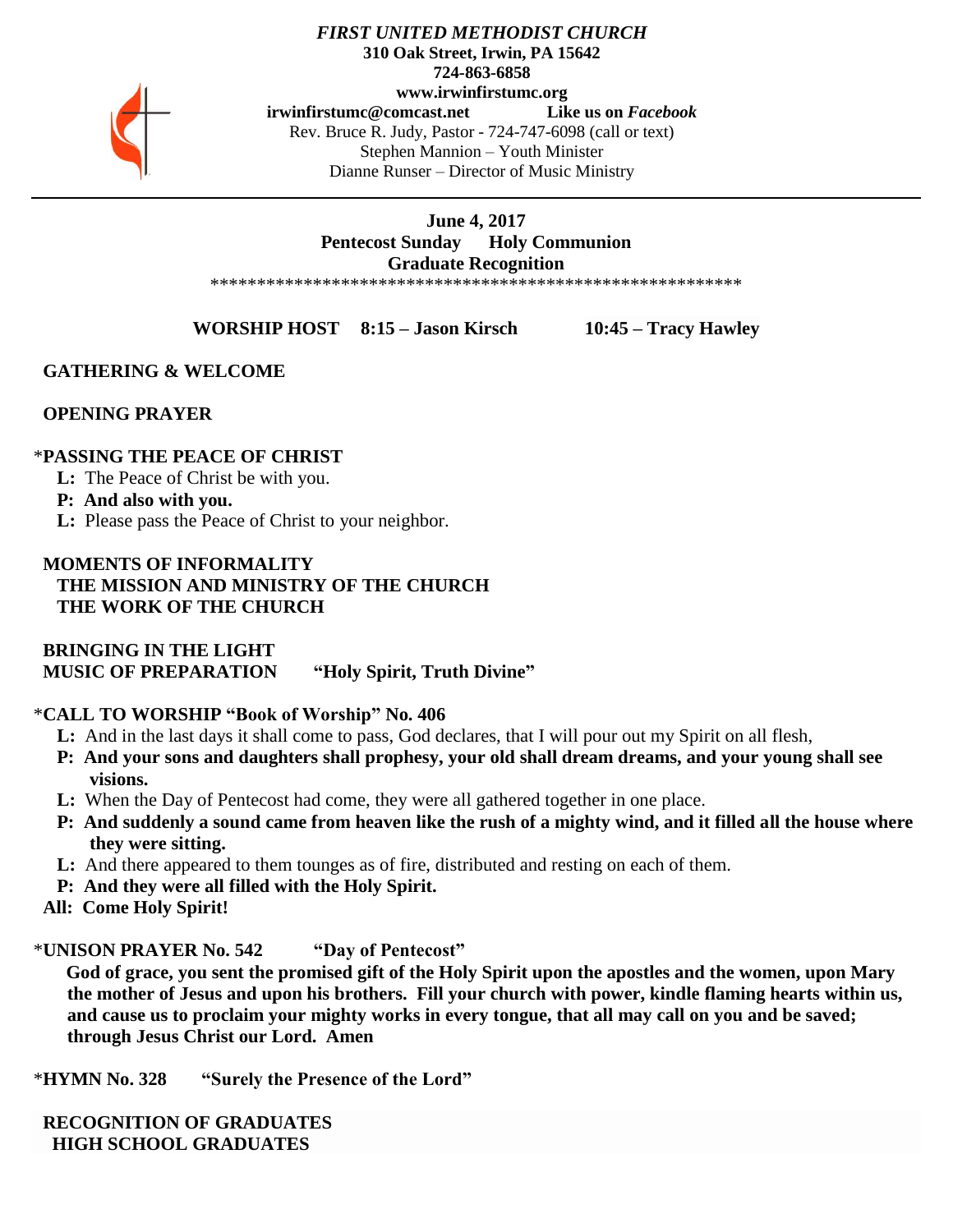

*FIRST UNITED METHODIST CHURCH* **310 Oak Street, Irwin, PA 15642 724-863-6858 www.irwinfirstumc.org [irwinfirstumc@comcast.net](mailto:irwinfirstumc@comcast.net) Like us on** *Facebook* Rev. Bruce R. Judy, Pastor - 724-747-6098 (call or text) Stephen Mannion – Youth Minister Dianne Runser – Director of Music Ministry

#### **June 4, 2017 Pentecost Sunday Holy Communion Graduate Recognition** \*\*\*\*\*\*\*\*\*\*\*\*\*\*\*\*\*\*\*\*\*\*\*\*\*\*\*\*\*\*\*\*\*\*\*\*\*\*\*\*\*\*\*\*\*\*\*\*\*\*\*\*\*\*\*\*\*

**WORSHIP HOST 8:15 – Jason Kirsch 10:45 – Tracy Hawley**

# **GATHERING & WELCOME**

# **OPENING PRAYER**

# \***PASSING THE PEACE OF CHRIST**

**L:** The Peace of Christ be with you.

## **P: And also with you.**

**L:** Please pass the Peace of Christ to your neighbor.

# **MOMENTS OF INFORMALITY THE MISSION AND MINISTRY OF THE CHURCH THE WORK OF THE CHURCH**

 **BRINGING IN THE LIGHT MUSIC OF PREPARATION "Holy Spirit, Truth Divine"**

# \***CALL TO WORSHIP "Book of Worship" No. 406**

- **L:** And in the last days it shall come to pass, God declares, that I will pour out my Spirit on all flesh,
- **P: And your sons and daughters shall prophesy, your old shall dream dreams, and your young shall see visions.**
- **L:** When the Day of Pentecost had come, they were all gathered together in one place.
- **P: And suddenly a sound came from heaven like the rush of a mighty wind, and it filled all the house where they were sitting.**
- **L:** And there appeared to them tounges as of fire, distributed and resting on each of them.
- **P: And they were all filled with the Holy Spirit.**
- **All: Come Holy Spirit!**

\***UNISON PRAYER No. 542 "Day of Pentecost"**

 **God of grace, you sent the promised gift of the Holy Spirit upon the apostles and the women, upon Mary the mother of Jesus and upon his brothers. Fill your church with power, kindle flaming hearts within us, and cause us to proclaim your mighty works in every tongue, that all may call on you and be saved; through Jesus Christ our Lord. Amen**

\***HYMN No. 328 "Surely the Presence of the Lord"**

 **RECOGNITION OF GRADUATES HIGH SCHOOL GRADUATES**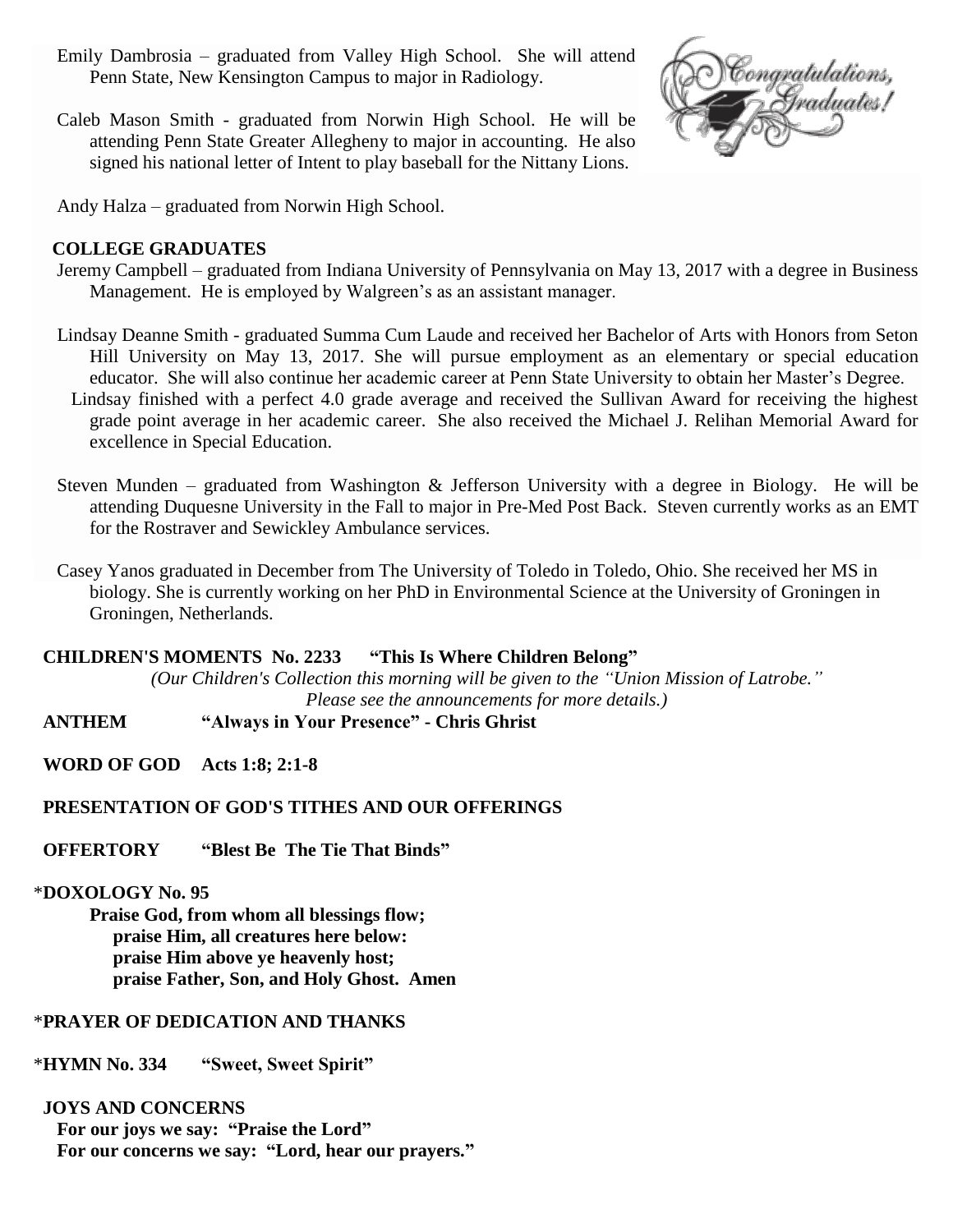- Emily Dambrosia graduated from Valley High School. She will attend Penn State, New Kensington Campus to major in Radiology.
- Caleb Mason Smith graduated from Norwin High School. He will be attending Penn State Greater Allegheny to major in accounting. He also signed his national letter of Intent to play baseball for the Nittany Lions.



Andy Halza – graduated from Norwin High School.

## **COLLEGE GRADUATES**

- Jeremy Campbell graduated from Indiana University of Pennsylvania on May 13, 2017 with a degree in Business Management. He is employed by Walgreen's as an assistant manager.
- Lindsay Deanne Smith graduated Summa Cum Laude and received her Bachelor of Arts with Honors from Seton Hill University on May 13, 2017. She will pursue employment as an elementary or special education educator. She will also continue her academic career at Penn State University to obtain her Master's Degree.
	- Lindsay finished with a perfect 4.0 grade average and received the Sullivan Award for receiving the highest grade point average in her academic career. She also received the Michael J. Relihan Memorial Award for excellence in Special Education.
- Steven Munden graduated from Washington & Jefferson University with a degree in Biology. He will be attending Duquesne University in the Fall to major in Pre-Med Post Back. Steven currently works as an EMT for the Rostraver and Sewickley Ambulance services.
- Casey Yanos graduated in December from The University of Toledo in Toledo, Ohio. She received her MS in biology. She is currently working on her PhD in Environmental Science at the University of Groningen in Groningen, Netherlands.

## **CHILDREN'S MOMENTS No. 2233 "This Is Where Children Belong"**

*(Our Children's Collection this morning will be given to the "Union Mission of Latrobe." Please see the announcements for more details.)*

 **ANTHEM "Always in Your Presence" - Chris Ghrist**

 **WORD OF GOD Acts 1:8; 2:1-8**

# **PRESENTATION OF GOD'S TITHES AND OUR OFFERINGS**

 **OFFERTORY "Blest Be The Tie That Binds"**

# \***DOXOLOGY No. 95**

**Praise God, from whom all blessings flow; praise Him, all creatures here below: praise Him above ye heavenly host; praise Father, Son, and Holy Ghost. Amen**

# \***PRAYER OF DEDICATION AND THANKS**

\***HYMN No. 334 "Sweet, Sweet Spirit"**

## **JOYS AND CONCERNS**

 **For our joys we say: "Praise the Lord" For our concerns we say: "Lord, hear our prayers."**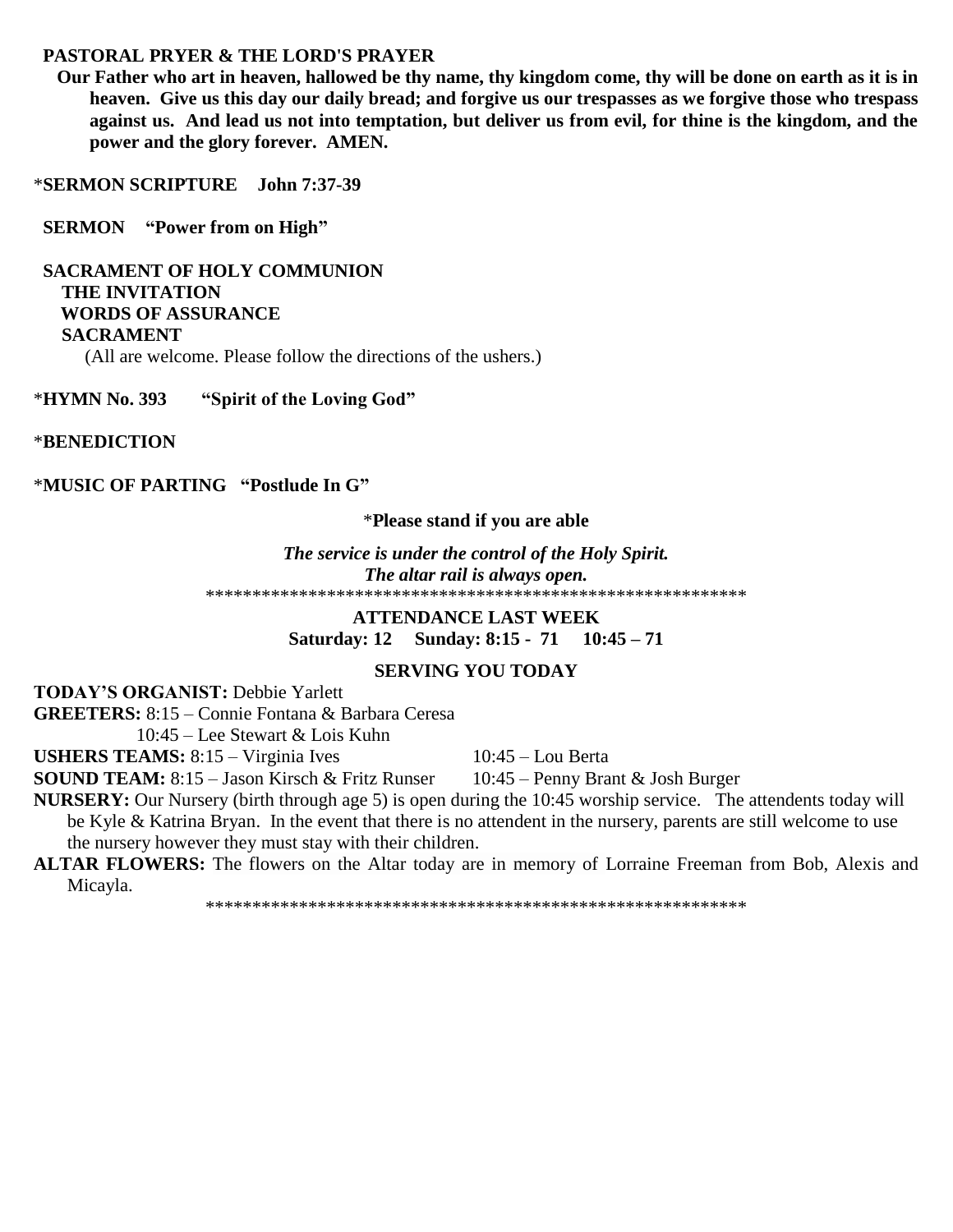# **PASTORAL PRYER & THE LORD'S PRAYER**

 **Our Father who art in heaven, hallowed be thy name, thy kingdom come, thy will be done on earth as it is in heaven. Give us this day our daily bread; and forgive us our trespasses as we forgive those who trespass against us. And lead us not into temptation, but deliver us from evil, for thine is the kingdom, and the power and the glory forever. AMEN.**

\***SERMON SCRIPTURE John 7:37-39**

 **SERMON "Power from on High"**

 **SACRAMENT OF HOLY COMMUNION THE INVITATION WORDS OF ASSURANCE SACRAMENT** (All are welcome. Please follow the directions of the ushers.)

\***HYMN No. 393 "Spirit of the Loving God"**

\***BENEDICTION**

\***MUSIC OF PARTING "Postlude In G"**

### \***Please stand if you are able**

*The service is under the control of the Holy Spirit. The altar rail is always open.* \*\*\*\*\*\*\*\*\*\*\*\*\*\*\*\*\*\*\*\*\*\*\*\*\*\*\*\*\*\*\*\*\*\*\*\*\*\*\*\*\*\*\*\*\*\*\*\*\*\*\*\*\*\*\*\*\*\*

> **ATTENDANCE LAST WEEK Saturday: 12 Sunday: 8:15 - 71 10:45 – 71**

## **SERVING YOU TODAY**

**TODAY'S ORGANIST:** Debbie Yarlett

**GREETERS:** 8:15 – Connie Fontana & Barbara Ceresa

10:45 – Lee Stewart & Lois Kuhn

USHERS TEAMS: 8:15 – Virginia Ives 10:45 – Lou Berta

**SOUND TEAM:** 8:15 – Jason Kirsch & Fritz Runser 10:45 – Penny Brant & Josh Burger

**NURSERY:** Our Nursery (birth through age 5) is open during the 10:45 worship service. The attendents today will be Kyle & Katrina Bryan. In the event that there is no attendent in the nursery, parents are still welcome to use the nursery however they must stay with their children.

**ALTAR FLOWERS:** The flowers on the Altar today are in memory of Lorraine Freeman from Bob, Alexis and Micayla.

\*\*\*\*\*\*\*\*\*\*\*\*\*\*\*\*\*\*\*\*\*\*\*\*\*\*\*\*\*\*\*\*\*\*\*\*\*\*\*\*\*\*\*\*\*\*\*\*\*\*\*\*\*\*\*\*\*\*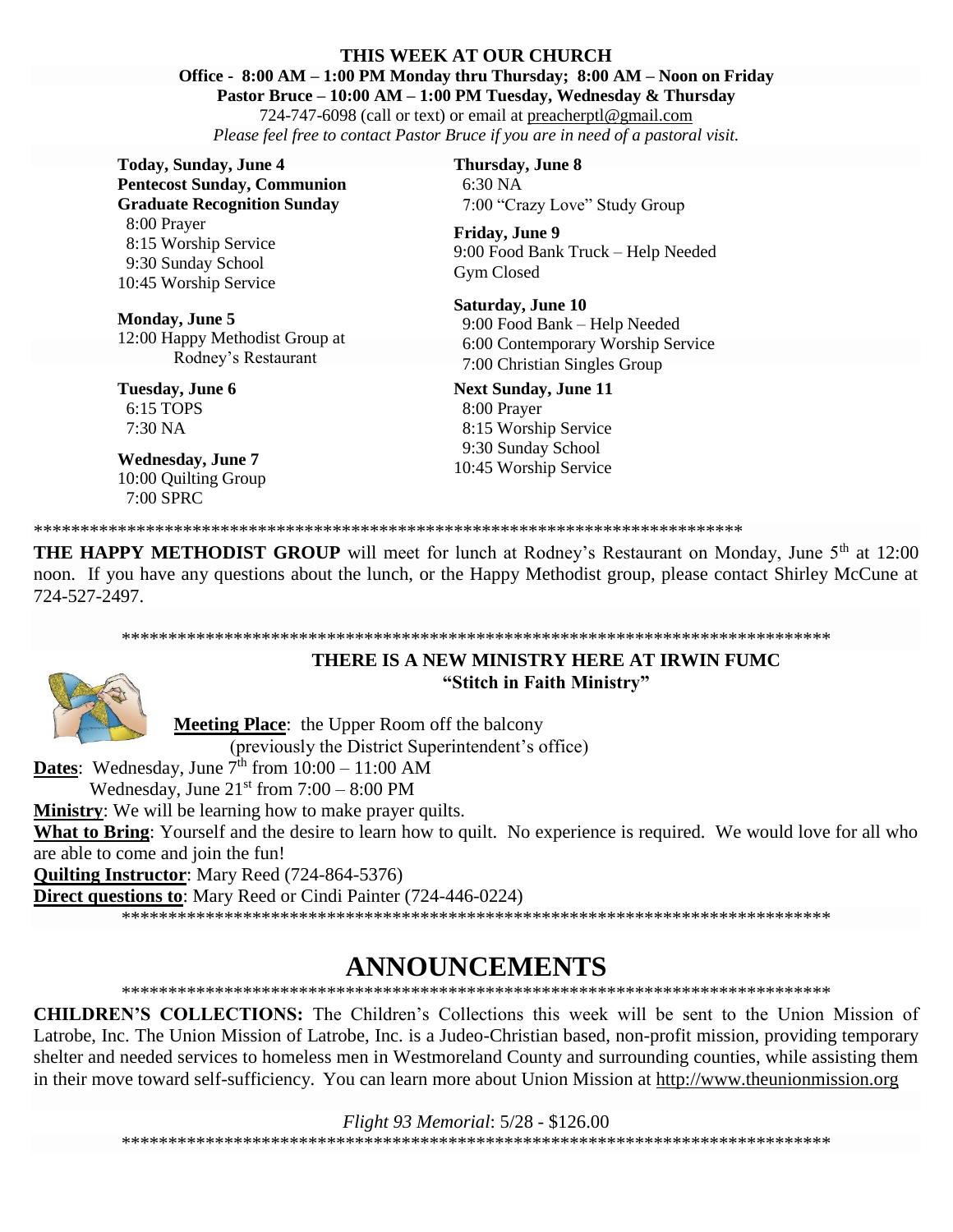#### **THIS WEEK AT OUR CHURCH**

**Office - 8:00 AM – 1:00 PM Monday thru Thursday; 8:00 AM – Noon on Friday**

**Pastor Bruce – 10:00 AM – 1:00 PM Tuesday, Wednesday & Thursday**

724-747-6098 (call or text) or email at [preacherptl@gmail.com](mailto:preacherptl@gmail.com) *Please feel free to contact Pastor Bruce if you are in need of a pastoral visit.*

**Today, Sunday, June 4 Pentecost Sunday, Communion Graduate Recognition Sunday** 8:00 Prayer 8:15 Worship Service 9:30 Sunday School 10:45 Worship Service

**Monday, June 5** 12:00 Happy Methodist Group at Rodney's Restaurant

**Tuesday, June 6** 6:15 TOPS 7:30 NA

**Wednesday, June 7** 10:00 Quilting Group 7:00 SPRC

**Thursday, June 8** 6:30 NA 7:00 "Crazy Love" Study Group

**Friday, June 9** 9:00 Food Bank Truck – Help Needed Gym Closed

**Saturday, June 10** 9:00 Food Bank – Help Needed 6:00 Contemporary Worship Service 7:00 Christian Singles Group

**Next Sunday, June 11** 8:00 Prayer 8:15 Worship Service 9:30 Sunday School 10:45 Worship Service

\*\*\*\*\*\*\*\*\*\*\*\*\*\*\*\*\*\*\*\*\*\*\*\*\*\*\*\*\*\*\*\*\*\*\*\*\*\*\*\*\*\*\*\*\*\*\*\*\*\*\*\*\*\*\*\*\*\*\*\*\*\*\*\*\*\*\*\*\*\*\*\*\*\*\*\*

**THE HAPPY METHODIST GROUP** will meet for lunch at Rodney's Restaurant on Monday, June 5<sup>th</sup> at 12:00 noon. If you have any questions about the lunch, or the Happy Methodist group, please contact Shirley McCune at 724-527-2497.

#### \*\*\*\*\*\*\*\*\*\*\*\*\*\*\*\*\*\*\*\*\*\*\*\*\*\*\*\*\*\*\*\*\*\*\*\*\*\*\*\*\*\*\*\*\*\*\*\*\*\*\*\*\*\*\*\*\*\*\*\*\*\*\*\*\*\*\*\*\*\*\*\*\*\*\*\*



**THERE IS A NEW MINISTRY HERE AT IRWIN FUMC "Stitch in Faith Ministry"**

**Meeting Place**: the Upper Room off the balcony

(previously the District Superintendent's office)

**Dates**: Wednesday, June  $7<sup>th</sup>$  from  $10:00 - 11:00$  AM

Wednesday, June  $21<sup>st</sup>$  from  $7:00 - 8:00$  PM

**Ministry**: We will be learning how to make prayer quilts.

**What to Bring**: Yourself and the desire to learn how to quilt. No experience is required. We would love for all who are able to come and join the fun!

**Quilting Instructor**: Mary Reed (724-864-5376)

**Direct questions to**: Mary Reed or Cindi Painter (724-446-0224)

\*\*\*\*\*\*\*\*\*\*\*\*\*\*\*\*\*\*\*\*\*\*\*\*\*\*\*\*\*\*\*\*\*\*\*\*\*\*\*\*\*\*\*\*\*\*\*\*\*\*\*\*\*\*\*\*\*\*\*\*\*\*\*\*\*\*\*\*\*\*\*\*\*\*\*\*

# **ANNOUNCEMENTS**

\*\*\*\*\*\*\*\*\*\*\*\*\*\*\*\*\*\*\*\*\*\*\*\*\*\*\*\*\*\*\*\*\*\*\*\*\*\*\*\*\*\*\*\*\*\*\*\*\*\*\*\*\*\*\*\*\*\*\*\*\*\*\*\*\*\*\*\*\*\*\*\*\*\*\*\*

**CHILDREN'S COLLECTIONS:** The Children's Collections this week will be sent to the Union Mission of Latrobe, Inc. The Union Mission of Latrobe, Inc. is a Judeo-Christian based, non-profit mission, providing temporary shelter and needed services to homeless men in Westmoreland County and surrounding counties, while assisting them in their move toward self-sufficiency. You can learn more about Union Mission at http://www.theunionmission.org

*Flight 93 Memorial*: 5/28 - \$126.00 \*\*\*\*\*\*\*\*\*\*\*\*\*\*\*\*\*\*\*\*\*\*\*\*\*\*\*\*\*\*\*\*\*\*\*\*\*\*\*\*\*\*\*\*\*\*\*\*\*\*\*\*\*\*\*\*\*\*\*\*\*\*\*\*\*\*\*\*\*\*\*\*\*\*\*\*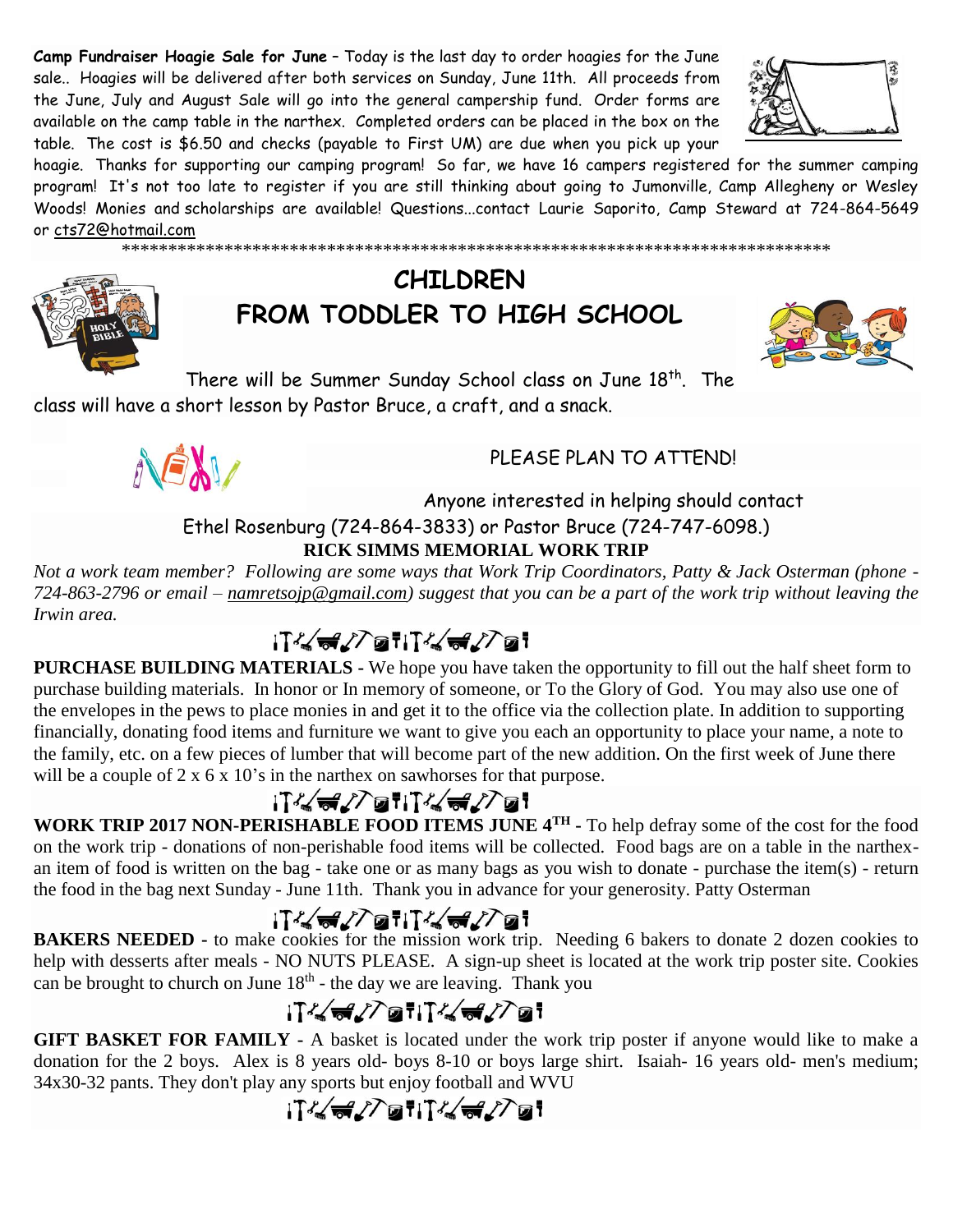**Camp Fundraiser Hoagie Sale for June** – Today is the last day to order hoagies for the June sale.. Hoagies will be delivered after both services on Sunday, June 11th. All proceeds from the June, July and August Sale will go into the general campership fund. Order forms are available on the camp table in the narthex. Completed orders can be placed in the box on the table. The cost is \$6.50 and checks (payable to First UM) are due when you pick up your



hoagie. Thanks for supporting our camping program! So far, we have 16 campers registered for the summer camping program! It's not too late to register if you are still thinking about going to Jumonville, Camp Allegheny or Wesley Woods! Monies and scholarships are available! Questions...contact Laurie Saporito, Camp Steward at 724-864-5649 or [cts72@hotmail.com](javascript:window.top.ZmObjectManager.__doClickObject(document.getElementById(%22OBJ_PREFIX_DWT2710_com_zimbra_email%22));)

\*\*\*\*\*\*\*\*\*\*\*\*\*\*\*\*\*\*\*\*\*\*\*\*\*\*\*\*\*\*\*\*\*\*\*\*\*\*\*\*\*\*\*\*\*\*\*\*\*\*\*\*\*\*\*\*\*\*\*\*\*\*\*\*\*\*\*\*\*\*\*\*\*\*\*\*



# **CHILDREN FROM TODDLER TO HIGH SCHOOL**



There will be Summer Sunday School class on June 18<sup>th</sup>. The class will have a short lesson by Pastor Bruce, a craft, and a snack.



# PLEASE PLAN TO ATTEND!

# Anyone interested in helping should contact Ethel Rosenburg (724-864-3833) or Pastor Bruce (724-747-6098.) **RICK SIMMS MEMORIAL WORK TRIP**

*Not a work team member? Following are some ways that Work Trip Coordinators, Patty & Jack Osterman (phone - 724-863-2796 or email – [namretsojp@gmail.com\)](javascript:window.top.ZmObjectManager.__doClickObject(document.getElementById(%22OBJ_PREFIX_DWT6859_com_zimbra_email%22));) suggest that you can be a part of the work trip without leaving the Irwin area.*

# iT&d/7atiT&d/7at

**PURCHASE BUILDING MATERIALS -** We hope you have taken the opportunity to fill out the half sheet form to purchase building materials. In honor or In memory of someone, or To the Glory of God. You may also use one of the envelopes in the pews to place monies in and get it to the office via the collection plate. In addition to supporting financially, donating food items and furniture we want to give you each an opportunity to place your name, a note to the family, etc. on a few pieces of lumber that will become part of the new addition. On the first week of June there will be a couple of 2 x 6 x 10's in the narthex on sawhorses for that purpose.

# ;T%√<del>a</del>v7atiT%√av7at

**WORK TRIP 2017 NON-PERISHABLE FOOD ITEMS JUNE 4TH -** To help defray some of the cost for the food on the work trip - donations of non-perishable food items will be collected. Food bags are on a table in the narthexan item of food is written on the bag - take one or as many bags as you wish to donate - purchase the item(s) - return the food in the bag next Sunday - June 11th. Thank you in advance for your generosity. Patty Osterman

**BAKERS NEEDED -** to make cookies for the mission work trip. Needing 6 bakers to donate 2 dozen cookies to help with desserts after meals - NO NUTS PLEASE. A sign-up sheet is located at the work trip poster site. Cookies can be brought to church on June  $18<sup>th</sup>$  - the day we are leaving. Thank you

# $\frac{1}{2}$   $\frac{1}{2}$   $\frac{1}{2}$   $\frac{1}{2}$   $\frac{1}{2}$   $\frac{1}{2}$   $\frac{1}{2}$   $\frac{1}{2}$   $\frac{1}{2}$   $\frac{1}{2}$

**GIFT BASKET FOR FAMILY -** A basket is located under the work trip poster if anyone would like to make a donation for the 2 boys. Alex is 8 years old- boys 8-10 or boys large shirt. Isaiah- 16 years old- men's medium; 34x30-32 pants. They don't play any sports but enjoy football and WVU

# iT&d/7atiT&d/7at